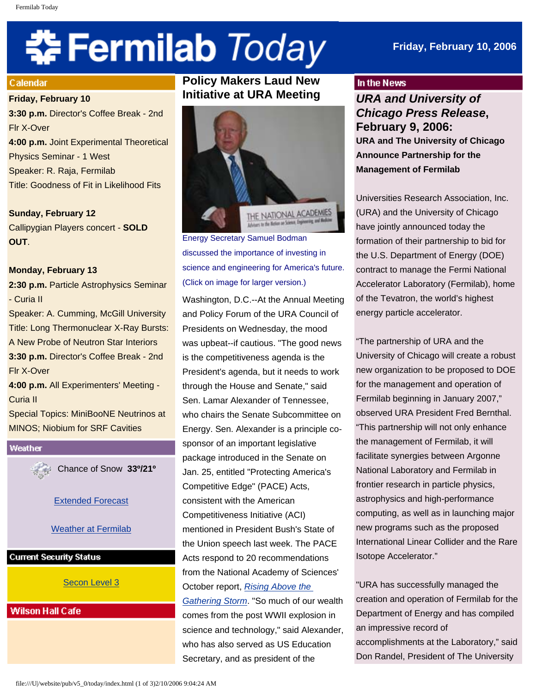# 축 Fermilab Today

# **Friday, February 10, 2006**

#### Calendar

#### **Friday, February 10**

**3:30 p.m.** Director's Coffee Break - 2nd Flr X-Over **4:00 p.m.** Joint Experimental Theoretical Physics Seminar - 1 West Speaker: R. Raja, Fermilab Title: Goodness of Fit in Likelihood Fits

**Sunday, February 12** Callipygian Players concert - **SOLD OUT**.

#### **Monday, February 13**

**2:30 p.m.** Particle Astrophysics Seminar - Curia II

Speaker: A. Cumming, McGill University Title: Long Thermonuclear X-Ray Bursts: A New Probe of Neutron Star Interiors **3:30 p.m.** Director's Coffee Break - 2nd Flr X-Over

**4:00 p.m.** All Experimenters' Meeting - Curia II

Special Topics: MiniBooNE Neutrinos at MINOS; Niobium for SRF Cavities

# Weather Chance of Snow **33º/21º**

[Extended Forecast](http://www.srh.noaa.gov/data/forecasts/ILZ012.php?warncounty=ILC089&city=Batavia)

[Weather at Fermilab](http://www-esh.fnal.gov/pls/default/weather.html) 

#### **Current Security Status**

### [Secon Level 3](http://www.fnal.gov/pub/about/public_affairs/currentstatus.html)

#### **Wilson Hall Cafe**

# **Policy Makers Laud New Initiative at URA Meeting**



Energy Secretary Samuel Bodman discussed the importance of investing in science and engineering for America's future. (Click on image for larger version.)

Washington, D.C.--At the Annual Meeting and Policy Forum of the URA Council of Presidents on Wednesday, the mood was upbeat--if cautious. "The good news is the competitiveness agenda is the President's agenda, but it needs to work through the House and Senate," said Sen. Lamar Alexander of Tennessee, who chairs the Senate Subcommittee on Energy. Sen. Alexander is a principle cosponsor of an important legislative package introduced in the Senate on Jan. 25, entitled "Protecting America's Competitive Edge" (PACE) Acts, consistent with the American Competitiveness Initiative (ACI) mentioned in President Bush's State of the Union speech last week. The PACE Acts respond to 20 recommendations from the National Academy of Sciences' October report, *[Rising Above the](http://www.nap.edu/books/0309100399/html) [Gathering Storm](http://www.nap.edu/books/0309100399/html)*. "So much of our wealth comes from the post WWII explosion in science and technology," said Alexander, who has also served as US Education Secretary, and as president of the

#### In the News

*URA and University of Chicago Press Release***, February 9, 2006: URA and The University of Chicago Announce Partnership for the Management of Fermilab** 

Universities Research Association, Inc. (URA) and the University of Chicago have jointly announced today the formation of their partnership to bid for the U.S. Department of Energy (DOE) contract to manage the Fermi National Accelerator Laboratory (Fermilab), home of the Tevatron, the world's highest energy particle accelerator.

"The partnership of URA and the University of Chicago will create a robust new organization to be proposed to DOE for the management and operation of Fermilab beginning in January 2007," observed URA President Fred Bernthal. "This partnership will not only enhance the management of Fermilab, it will facilitate synergies between Argonne National Laboratory and Fermilab in frontier research in particle physics, astrophysics and high-performance computing, as well as in launching major new programs such as the proposed International Linear Collider and the Rare Isotope Accelerator."

"URA has successfully managed the creation and operation of Fermilab for the Department of Energy and has compiled an impressive record of accomplishments at the Laboratory," said Don Randel, President of The University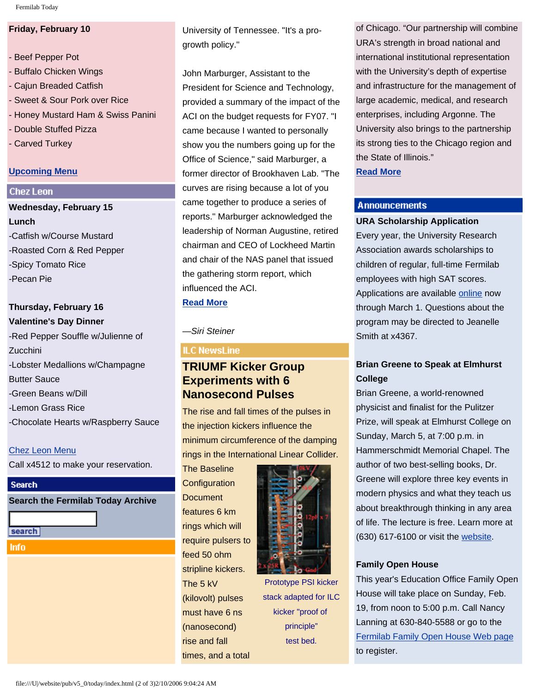Fermilab Today

# **Friday, February 10**

- Beef Pepper Pot - Buffalo Chicken Wings - Cajun Breaded Catfish - Sweet & Sour Pork over Rice - Honey Mustard Ham & Swiss Panini - Double Stuffed Pizza - Carved Turkey

# **[Upcoming Menu](http://lss.fnal.gov/cafe)**

# **Chez Leon**

**Wednesday, February 15 Lunch** -Catfish w/Course Mustard -Roasted Corn & Red Pepper -Spicy Tomato Rice -Pecan Pie

# **Thursday, February 16 Valentine's Day Dinner**

-Red Pepper Souffle w/Julienne of **Zucchini** -Lobster Medallions w/Champagne Butter Sauce -Green Beans w/Dill -Lemon Grass Rice -Chocolate Hearts w/Raspberry Sauce

# [Chez Leon Menu](http://lss.fnal.gov/chezleon/index.html)

Call x4512 to make your reservation.

# **Search**

**Search the Fermilab Today Archive**

search

**Info** 

University of Tennessee. "It's a progrowth policy."

John Marburger, Assistant to the President for Science and Technology, provided a summary of the impact of the ACI on the budget requests for FY07. "I came because I wanted to personally show you the numbers going up for the Office of Science," said Marburger, a former director of Brookhaven Lab. "The curves are rising because a lot of you came together to produce a series of reports." Marburger acknowledged the leadership of Norman Augustine, retired chairman and CEO of Lockheed Martin and chair of the NAS panel that issued the gathering storm report, which influenced the ACI.

# **[Read More](http://www.fnal.gov/pub/today/URACouncil.html)**

*—Siri Steiner*

# **ILC NewsLine**

# **TRIUMF Kicker Group Experiments with 6 Nanosecond Pulses**

The rise and fall times of the pulses in the injection kickers influence the minimum circumference of the damping rings in the International Linear Collider.

The Baseline **Configuration Document** features 6 km rings which will require pulsers to feed 50 ohm stripline kickers. The 5 kV (kilovolt) pulses must have 6 ns (nanosecond) rise and fall times, and a total



Prototype PSI kicker stack adapted for ILC kicker "proof of principle" test bed.

of Chicago. "Our partnership will combine URA's strength in broad national and international institutional representation with the University's depth of expertise and infrastructure for the management of large academic, medical, and research enterprises, including Argonne. The University also brings to the partnership its strong ties to the Chicago region and the State of Illinois." **[Read More](http://www-news.uchicago.edu/releases/06/060209.fermilab.shtml)**

# **Announcements**

#### **URA Scholarship Application**

Every year, the University Research Association awards scholarships to children of regular, full-time Fermilab employees with high SAT scores. Applications are available [online](http://lss.fnal.gov/section/URAscholarship.html) now through March 1. Questions about the program may be directed to Jeanelle Smith at x4367.

# **Brian Greene to Speak at Elmhurst College**

Brian Greene, a world-renowned physicist and finalist for the Pulitzer Prize, will speak at Elmhurst College on Sunday, March 5, at 7:00 p.m. in Hammerschmidt Memorial Chapel. The author of two best-selling books, Dr. Greene will explore three key events in modern physics and what they teach us about breakthrough thinking in any area of life. The lecture is free. Learn more at (630) 617-6100 or visit the [website.](file:///U|/website/pub/v5_0/today/www.elmhurst.edu/calendar)

#### **Family Open House**

This year's Education Office Family Open House will take place on Sunday, Feb. 19, from noon to 5:00 p.m. Call Nancy Lanning at 630-840-5588 or go to the [Fermilab Family Open House Web page](http://www-ed.fnal.gov/ffse/openhouse.html) to register.